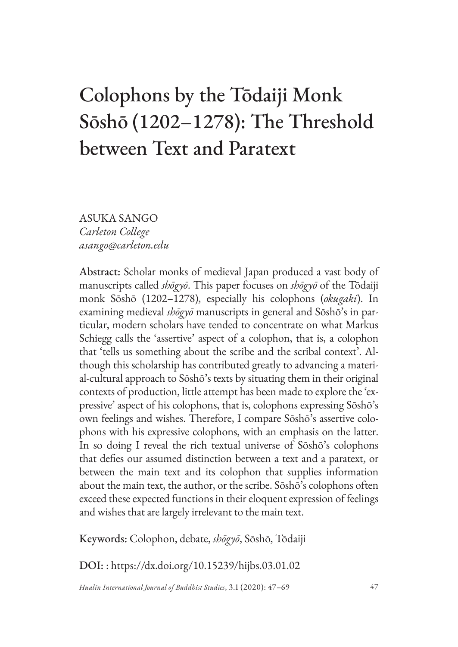# Colophons by the Tōdaiji Monk Sōshō (1202–1278): The Threshold between Text and Paratext

ASUKA SANGO *Carleton College asango@carleton.edu*

Abstract: Scholar monks of medieval Japan produced a vast body of manuscripts called *shōgyō*. This paper focuses on *shōgyō* of the Tōdaiji monk Sōshō (1202–1278), especially his colophons (*okugaki*). In examining medieval *shōgyō* manuscripts in general and Sōshō's in particular, modern scholars have tended to concentrate on what Markus Schiegg calls the 'assertive' aspect of a colophon, that is, a colophon that 'tells us something about the scribe and the scribal context'. Although this scholarship has contributed greatly to advancing a material-cultural approach to Sōshō's texts by situating them in their original contexts of production, little attempt has been made to explore the 'expressive' aspect of his colophons, that is, colophons expressing Sōshō's own feelings and wishes. Therefore, I compare Sōshō's assertive colophons with his expressive colophons, with an emphasis on the latter. In so doing I reveal the rich textual universe of Sōshō's colophons that defies our assumed distinction between a text and a paratext, or between the main text and its colophon that supplies information about the main text, the author, or the scribe. Sōshō's colophons often exceed these expected functions in their eloquent expression of feelings and wishes that are largely irrelevant to the main text.

Keywords: Colophon, debate, *shōgyō*, Sōshō, Tōdaiji

DOI: : https://dx.doi.org/10.15239/hijbs.03.01.02

*Hualin International Journal of Buddhist Studies*, 3.1 (2020): 47–69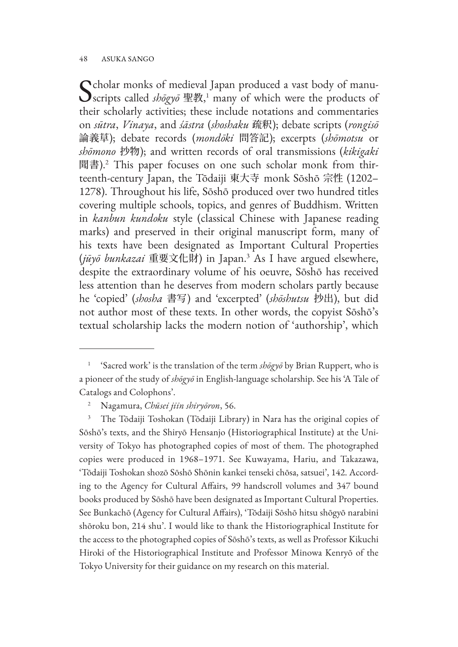#### 48 ASUKA SANGO

Scholar monks of medieval Japan produced a vast body of manu-<br>
scripts called *shōgyō* 聖教,<sup>1</sup> many of which were the products of their scholarly activities; these include notations and commentaries on *sūtra*, *Vinaya*, and *śāstra* (*shoshaku* 疏釈); debate scripts (*rongisō* 論義草); debate records (*mondōki* 問答記); excerpts (*shōmotsu* or *shōmono* 抄物); and written records of oral transmissions (*kikigaki* 聞書).2 This paper focuses on one such scholar monk from thirteenth-century Japan, the Tōdaiji 東大寺 monk Sōshō 宗性 (1202– 1278). Throughout his life, Sōshō produced over two hundred titles covering multiple schools, topics, and genres of Buddhism. Written in *kanbun kundoku* style (classical Chinese with Japanese reading marks) and preserved in their original manuscript form, many of his texts have been designated as Important Cultural Properties (*jūyō bunkazai* 重要文化財) in Japan.3 As I have argued elsewhere, despite the extraordinary volume of his oeuvre, Sōshō has received less attention than he deserves from modern scholars partly because he 'copied' (*shosha* 書写) and 'excerpted' (*shōshutsu* 抄出), but did not author most of these texts. In other words, the copyist Sōshō's textual scholarship lacks the modern notion of 'authorship', which

<sup>&</sup>lt;sup>1</sup> 'Sacred work' is the translation of the term  $sh\bar{o}g\gamma\bar{o}$  by Brian Ruppert, who is a pioneer of the study of *shōgyō* in English-language scholarship. See his 'A Tale of Catalogs and Colophons'.

<sup>2</sup> Nagamura, *Chūsei jiin shiryōron*, 56.

<sup>3</sup> The Tōdaiji Toshokan (Tōdaiji Library) in Nara has the original copies of Sōshō's texts, and the Shiryō Hensanjo (Historiographical Institute) at the University of Tokyo has photographed copies of most of them. The photographed copies were produced in 1968–1971. See Kuwayama, Hariu, and Takazawa, 'Tōdaiji Toshokan shozō Sōshō Shōnin kankei tenseki chōsa, satsuei', 142. According to the Agency for Cultural Affairs, 99 handscroll volumes and 347 bound books produced by Sōshō have been designated as Important Cultural Properties. See Bunkachō (Agency for Cultural Affairs), 'Tōdaiji Sōshō hitsu shōgyō narabini shōroku bon, 214 shu'. I would like to thank the Historiographical Institute for the access to the photographed copies of Sōshō's texts, as well as Professor Kikuchi Hiroki of the Historiographical Institute and Professor Minowa Kenryō of the Tokyo University for their guidance on my research on this material.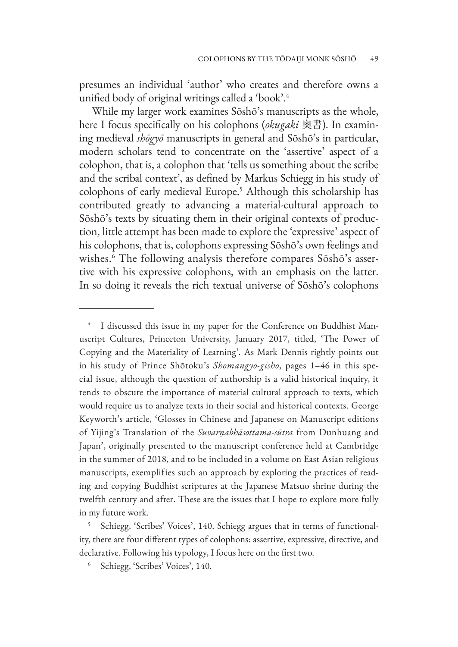presumes an individual 'author' who creates and therefore owns a unified body of original writings called a 'book'.4

While my larger work examines Sōshō's manuscripts as the whole, here I focus specifically on his colophons (*okugaki* 奥書). In examining medieval *shōgyō* manuscripts in general and Sōshō's in particular, modern scholars tend to concentrate on the 'assertive' aspect of a colophon, that is, a colophon that 'tells us something about the scribe and the scribal context', as defined by Markus Schiegg in his study of colophons of early medieval Europe.<sup>5</sup> Although this scholarship has contributed greatly to advancing a material-cultural approach to Sōshō's texts by situating them in their original contexts of production, little attempt has been made to explore the 'expressive' aspect of his colophons, that is, colophons expressing Sōshō's own feelings and wishes.6 The following analysis therefore compares Sōshō's assertive with his expressive colophons, with an emphasis on the latter. In so doing it reveals the rich textual universe of Sōshō's colophons

I discussed this issue in my paper for the Conference on Buddhist Manuscript Cultures, Princeton University, January 2017, titled, 'The Power of Copying and the Materiality of Learning'. As Mark Dennis rightly points out in his study of Prince Shōtoku's *Shōmangyō-gisho*, pages 1–46 in this special issue, although the question of authorship is a valid historical inquiry, it tends to obscure the importance of material cultural approach to texts, which would require us to analyze texts in their social and historical contexts. George Keyworth's article, 'Glosses in Chinese and Japanese on Manuscript editions of Yijing's Translation of the *Suvarṇabhāsottama-sūtra* from Dunhuang and Japan', originally presented to the manuscript conference held at Cambridge in the summer of 2018, and to be included in a volume on East Asian religious manuscripts, exemplifies such an approach by exploring the practices of reading and copying Buddhist scriptures at the Japanese Matsuo shrine during the twelfth century and after. These are the issues that I hope to explore more fully in my future work.

<sup>5</sup> Schiegg, 'Scribes' Voices', 140. Schiegg argues that in terms of functionality, there are four different types of colophons: assertive, expressive, directive, and declarative. Following his typology, I focus here on the first two.

<sup>6</sup> Schiegg, 'Scribes' Voices', 140.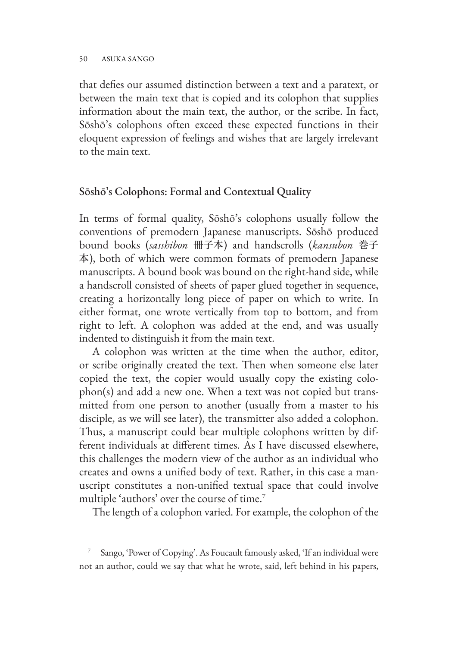that defies our assumed distinction between a text and a paratext, or between the main text that is copied and its colophon that supplies information about the main text, the author, or the scribe. In fact, Sōshō's colophons often exceed these expected functions in their eloquent expression of feelings and wishes that are largely irrelevant to the main text.

## Sōshō's Colophons: Formal and Contextual Quality

In terms of formal quality, Sōshō's colophons usually follow the conventions of premodern Japanese manuscripts. Sōshō produced bound books (*sasshibon* 冊子本) and handscrolls (*kansubon* 巻子 本), both of which were common formats of premodern Japanese manuscripts. A bound book was bound on the right-hand side, while a handscroll consisted of sheets of paper glued together in sequence, creating a horizontally long piece of paper on which to write. In either format, one wrote vertically from top to bottom, and from right to left. A colophon was added at the end, and was usually indented to distinguish it from the main text.

A colophon was written at the time when the author, editor, or scribe originally created the text. Then when someone else later copied the text, the copier would usually copy the existing colophon(s) and add a new one. When a text was not copied but transmitted from one person to another (usually from a master to his disciple, as we will see later), the transmitter also added a colophon. Thus, a manuscript could bear multiple colophons written by different individuals at different times. As I have discussed elsewhere, this challenges the modern view of the author as an individual who creates and owns a unified body of text. Rather, in this case a manuscript constitutes a non-unified textual space that could involve multiple 'authors' over the course of time.<sup>7</sup>

The length of a colophon varied. For example, the colophon of the

Sango, 'Power of Copying'. As Foucault famously asked, 'If an individual were not an author, could we say that what he wrote, said, left behind in his papers,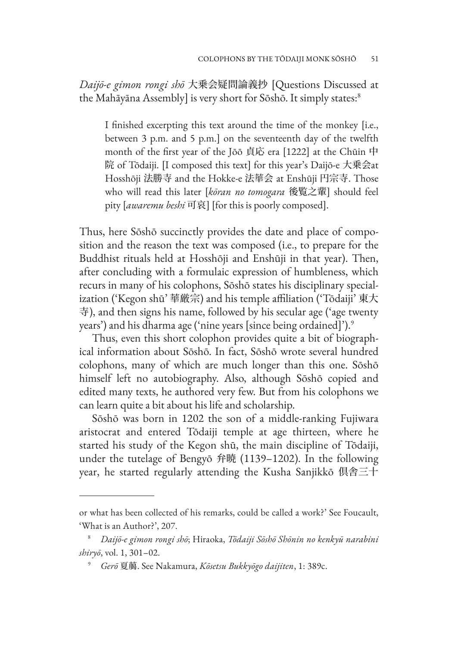*Daijō-e gimon rongi shō* 大乗会疑問論義抄 [Questions Discussed at the Mahāyāna Assembly] is very short for Sōshō. It simply states:<sup>8</sup>

I finished excerpting this text around the time of the monkey [i.e., between 3 p.m. and 5 p.m.] on the seventeenth day of the twelfth month of the first year of the Jōō 貞応 era [1222] at the Chūin 中 院 of Tōdaiji. [I composed this text] for this year's Daijō-e 大乗会at Hosshōji 法勝寺 and the Hokke-e 法華会 at Enshūji 円宗寺. Those who will read this later [*kōran no tomogara* 後覧之輩] should feel pity [*awaremu beshi* 可哀] [for this is poorly composed].

Thus, here Sōshō succinctly provides the date and place of composition and the reason the text was composed (i.e., to prepare for the Buddhist rituals held at Hosshōji and Enshūji in that year). Then, after concluding with a formulaic expression of humbleness, which recurs in many of his colophons, Sōshō states his disciplinary specialization ('Kegon shū' 華厳宗) and his temple affiliation ('Tōdaiji' 東大 寺), and then signs his name, followed by his secular age ('age twenty years') and his dharma age ('nine years [since being ordained]').<sup>9</sup>

Thus, even this short colophon provides quite a bit of biographical information about Sōshō. In fact, Sōshō wrote several hundred colophons, many of which are much longer than this one. Sōshō himself left no autobiography. Also, although Sōshō copied and edited many texts, he authored very few. But from his colophons we can learn quite a bit about his life and scholarship.

Sōshō was born in 1202 the son of a middle-ranking Fujiwara aristocrat and entered Tōdaiji temple at age thirteen, where he started his study of the Kegon shū, the main discipline of Tōdaiji, under the tutelage of Bengyō 弁暁 (1139–1202). In the following year, he started regularly attending the Kusha Sanjikkō 倶舎三十

or what has been collected of his remarks, could be called a work?' See Foucault, 'What is an Author?', 207.

<sup>8</sup> *Daijō-e gimon rongi shō*; Hiraoka, *Tōdaiji Sōshō Shōnin no kenkyū narabini shiryō*, vol. 1, 301–02.

<sup>9</sup> *Gerō* 夏﨟. See Nakamura, *Kōsetsu Bukkyōgo daijiten*, 1: 389c.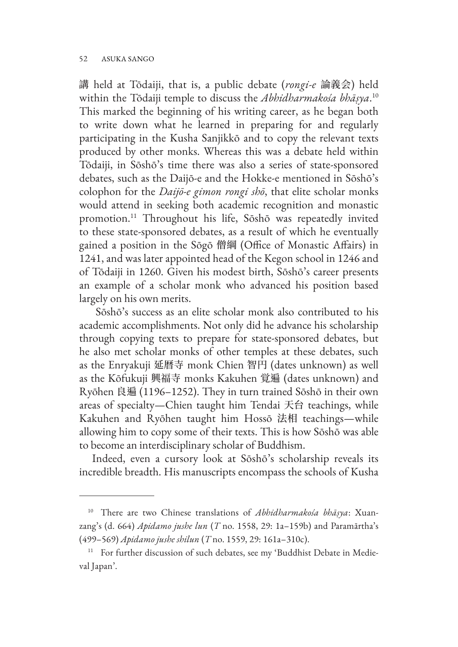講 held at Tōdaiji, that is, a public debate (*rongi-e* 論義会) held within the Tōdaiji temple to discuss the *Abhidharmakośa bhāṣya*. 10 This marked the beginning of his writing career, as he began both to write down what he learned in preparing for and regularly participating in the Kusha Sanjikkō and to copy the relevant texts produced by other monks. Whereas this was a debate held within Tōdaiji, in Sōshō's time there was also a series of state-sponsored debates, such as the Daijō-e and the Hokke-e mentioned in Sōshō's colophon for the *Daijō-e gimon rongi shō*, that elite scholar monks would attend in seeking both academic recognition and monastic promotion.11 Throughout his life, Sōshō was repeatedly invited to these state-sponsored debates, as a result of which he eventually gained a position in the Sōgō 僧綱 (Office of Monastic Affairs) in 1241, and was later appointed head of the Kegon school in 1246 and of Tōdaiji in 1260. Given his modest birth, Sōshō's career presents an example of a scholar monk who advanced his position based largely on his own merits.

 Sōshō's success as an elite scholar monk also contributed to his academic accomplishments. Not only did he advance his scholarship through copying texts to prepare for state-sponsored debates, but he also met scholar monks of other temples at these debates, such as the Enryakuji 延暦寺 monk Chien 智円 (dates unknown) as well as the Kōfukuji 興福寺 monks Kakuhen 覚遍 (dates unknown) and Ryōhen 良遍 (1196–1252). They in turn trained Sōshō in their own areas of specialty—Chien taught him Tendai 天台 teachings, while Kakuhen and Ryōhen taught him Hossō 法相 teachings—while allowing him to copy some of their texts. This is how Sōshō was able to become an interdisciplinary scholar of Buddhism.

Indeed, even a cursory look at Sōshō's scholarship reveals its incredible breadth. His manuscripts encompass the schools of Kusha

<sup>10</sup> There are two Chinese translations of *Abhidharmakośa bhāṣya*: Xuanzang's (d. 664) *Apidamo jushe lun* (*T* no. 1558, 29: 1a–159b) and Paramārtha's (499–569) *Apidamo jushe shilun* (*T* no. 1559, 29: 161a–310c).

<sup>&</sup>lt;sup>11</sup> For further discussion of such debates, see my 'Buddhist Debate in Medieval Japan'.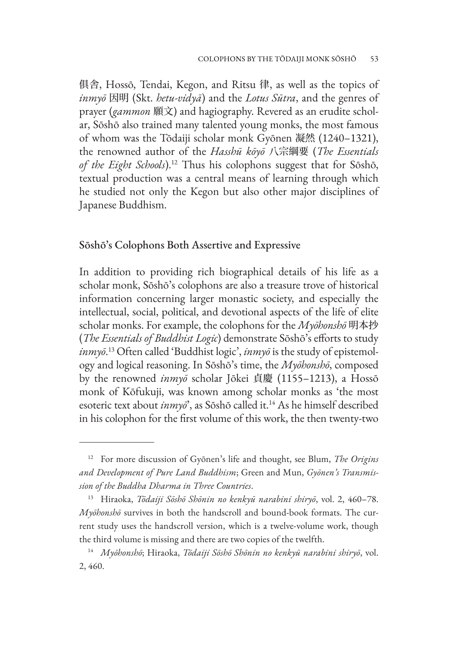俱舎, Hossō, Tendai, Kegon, and Ritsu 律, as well as the topics of *inmyō* 因明 (Skt. *hetu-vidyā*) and the *Lotus Sūtra*, and the genres of prayer (*gammon* 願文) and hagiography. Revered as an erudite scholar, Sōshō also trained many talented young monks, the most famous of whom was the Tōdaiji scholar monk Gyōnen 凝然 (1240–1321), the renowned author of the *Hasshū kōyō* 八宗綱要 (*The Essentials of the Eight Schools*).12 Thus his colophons suggest that for Sōshō, textual production was a central means of learning through which he studied not only the Kegon but also other major disciplines of Japanese Buddhism.

#### Sōshō's Colophons Both Assertive and Expressive

In addition to providing rich biographical details of his life as a scholar monk, Sōshō's colophons are also a treasure trove of historical information concerning larger monastic society, and especially the intellectual, social, political, and devotional aspects of the life of elite scholar monks. For example, the colophons for the *Myōhonshō* 明本抄 (*The Essentials of Buddhist Logic*) demonstrate Sōshō's efforts to study *inmyō*. 13 Often called 'Buddhist logic', *inmyō* is the study of epistemology and logical reasoning. In Sōshō's time, the *Myōhonshō*, composed by the renowned *inmyō* scholar Jōkei 貞慶 (1155–1213), a Hossō monk of Kōfukuji, was known among scholar monks as 'the most esoteric text about *inmyō*', as Sōshō called it.14 As he himself described in his colophon for the first volume of this work, the then twenty-two

<sup>12</sup> For more discussion of Gyōnen's life and thought, see Blum, *The Origins and Development of Pure Land Buddhism*; Green and Mun, *Gyōnen's Transmission of the Buddha Dharma in Three Countries*.

<sup>13</sup> Hiraoka, *Tōdaiji Sōshō Shōnin no kenkyū narabini shiryō*, vol. 2, 460–78. *Myōhonshō* survives in both the handscroll and bound-book formats. The current study uses the handscroll version, which is a twelve-volume work, though the third volume is missing and there are two copies of the twelfth.

<sup>14</sup> *Myōhonshō*; Hiraoka, *Tōdaiji Sōshō Shōnin no kenkyū narabini shiryō*, vol. 2, 460.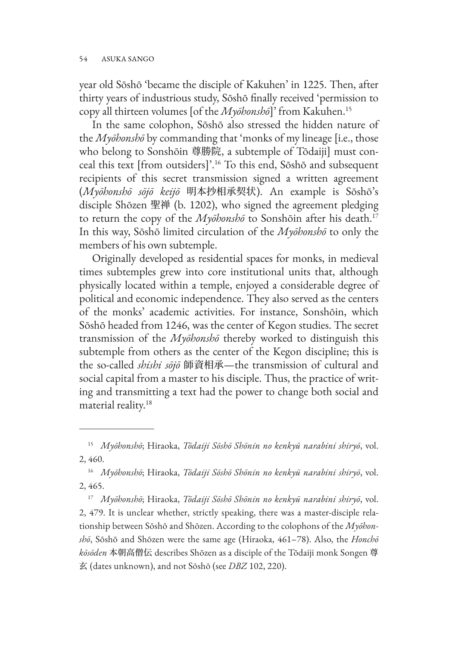year old Sōshō 'became the disciple of Kakuhen' in 1225. Then, after thirty years of industrious study, Sōshō finally received 'permission to copy all thirteen volumes [of the *Myōhonshō*]' from Kakuhen.15

In the same colophon, Sōshō also stressed the hidden nature of the *Myōhonshō* by commanding that 'monks of my lineage [i.e., those who belong to Sonshōin 尊勝院, a subtemple of Tōdaiji] must conceal this text [from outsiders]'.16 To this end, Sōshō and subsequent recipients of this secret transmission signed a written agreement (*Myōhonshō sōjō keijō* 明本抄相承契状). An example is Sōshō's disciple Shōzen 聖禅 (b. 1202), who signed the agreement pledging to return the copy of the *Myōhonshō* to Sonshōin after his death.17 In this way, Sōshō limited circulation of the *Myōhonshō* to only the members of his own subtemple.

Originally developed as residential spaces for monks, in medieval times subtemples grew into core institutional units that, although physically located within a temple, enjoyed a considerable degree of political and economic independence. They also served as the centers of the monks' academic activities. For instance, Sonshōin, which Sōshō headed from 1246, was the center of Kegon studies. The secret transmission of the *Myōhonshō* thereby worked to distinguish this subtemple from others as the center of the Kegon discipline; this is the so-called *shishi sōjō* 師資相承—the transmission of cultural and social capital from a master to his disciple. Thus, the practice of writing and transmitting a text had the power to change both social and material reality.<sup>18</sup>

<sup>15</sup> *Myōhonshō*; Hiraoka, *Tōdaiji Sōshō Shōnin no kenkyū narabini shiryō*, vol. 2, 460.

<sup>16</sup> *Myōhonshō*; Hiraoka, *Tōdaiji Sōshō Shōnin no kenkyū narabini shiryō*, vol. 2, 465.

<sup>17</sup> *Myōhonshō*; Hiraoka, *Tōdaiji Sōshō Shōnin no kenkyū narabini shiryō*, vol. 2, 479. It is unclear whether, strictly speaking, there was a master-disciple relationship between Sōshō and Shōzen. According to the colophons of the *Myōhonshō*, Sōshō and Shōzen were the same age (Hiraoka, 461–78). Also, the *Honchō kōsōden* 本朝高僧伝 describes Shōzen as a disciple of the Tōdaiji monk Songen 尊 玄 (dates unknown), and not Sōshō (see *DBZ* 102, 220).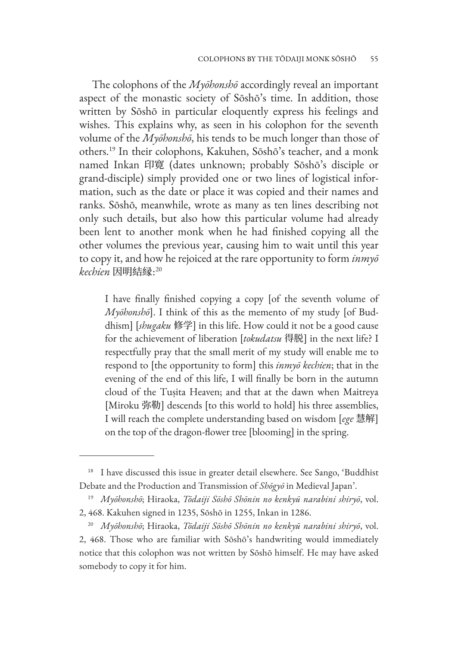The colophons of the *Myōhonshō* accordingly reveal an important aspect of the monastic society of Sōshō's time. In addition, those written by Sōshō in particular eloquently express his feelings and wishes. This explains why, as seen in his colophon for the seventh volume of the *Myōhonshō*, his tends to be much longer than those of others.19 In their colophons, Kakuhen, Sōshō's teacher, and a monk named Inkan 印寛 (dates unknown; probably Sōshō's disciple or grand-disciple) simply provided one or two lines of logistical information, such as the date or place it was copied and their names and ranks. Sōshō, meanwhile, wrote as many as ten lines describing not only such details, but also how this particular volume had already been lent to another monk when he had finished copying all the other volumes the previous year, causing him to wait until this year to copy it, and how he rejoiced at the rare opportunity to form *inmyō kechien* 因明結縁: 20

I have finally finished copying a copy [of the seventh volume of *Myōhonshō*]. I think of this as the memento of my study [of Buddhism] [*shugaku* 修学] in this life. How could it not be a good cause for the achievement of liberation [*tokudatsu* 得脱] in the next life? I respectfully pray that the small merit of my study will enable me to respond to [the opportunity to form] this *inmyō kechien*; that in the evening of the end of this life, I will finally be born in the autumn cloud of the Tuṣita Heaven; and that at the dawn when Maitreya [Miroku 弥勒] descends [to this world to hold] his three assemblies, I will reach the complete understanding based on wisdom [*ege* 慧解] on the top of the dragon-flower tree [blooming] in the spring.

<sup>&</sup>lt;sup>18</sup> I have discussed this issue in greater detail elsewhere. See Sango, 'Buddhist Debate and the Production and Transmission of *Shōgyō* in Medieval Japan'.

<sup>19</sup> *Myōhonshō*; Hiraoka, *Tōdaiji Sōshō Shōnin no kenkyū narabini shiryō*, vol. 2, 468. Kakuhen signed in 1235, Sōshō in 1255, Inkan in 1286.

<sup>20</sup> *Myōhonshō*; Hiraoka, *Tōdaiji Sōshō Shōnin no kenkyū narabini shiryō*, vol. 2, 468. Those who are familiar with Sōshō's handwriting would immediately notice that this colophon was not written by Sōshō himself. He may have asked somebody to copy it for him.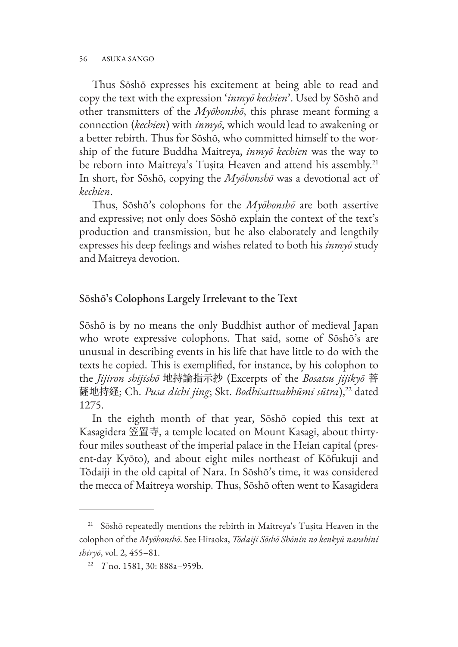Thus Sōshō expresses his excitement at being able to read and copy the text with the expression '*inmyō kechien*'. Used by Sōshō and other transmitters of the *Myōhonshō*, this phrase meant forming a connection (*kechien*) with *inmyō*, which would lead to awakening or a better rebirth. Thus for Sōshō, who committed himself to the worship of the future Buddha Maitreya, *inmyō kechien* was the way to be reborn into Maitreya's Tuṣita Heaven and attend his assembly.<sup>21</sup> In short, for Sōshō, copying the *Myōhonshō* was a devotional act of *kechien*.

Thus, Sōshō's colophons for the *Myōhonshō* are both assertive and expressive; not only does Sōshō explain the context of the text's production and transmission, but he also elaborately and lengthily expresses his deep feelings and wishes related to both his *inmyō* study and Maitreya devotion.

# Sōshō's Colophons Largely Irrelevant to the Text

Sōshō is by no means the only Buddhist author of medieval Japan who wrote expressive colophons. That said, some of Sōshō's are unusual in describing events in his life that have little to do with the texts he copied. This is exemplified, for instance, by his colophon to the *Jijiron shijishō* 地持論指示抄 (Excerpts of the *Bosatsu jijikyō* 菩 薩地持経; Ch. *Pusa dichi jing*; Skt. *Bodhisattvabhūmi sūtra*),<sup>22</sup> dated 1275.

In the eighth month of that year, Sōshō copied this text at Kasagidera 笠置寺, a temple located on Mount Kasagi, about thirtyfour miles southeast of the imperial palace in the Heian capital (present-day Kyōto), and about eight miles northeast of Kōfukuji and Tōdaiji in the old capital of Nara. In Sōshō's time, it was considered the mecca of Maitreya worship. Thus, Sōshō often went to Kasagidera

<sup>&</sup>lt;sup>21</sup> Sōshō repeatedly mentions the rebirth in Maitreya's Tuṣita Heaven in the colophon of the *Myōhonshō*. See Hiraoka, *Tōdaiji Sōshō Shōnin no kenkyū narabini shiryō*, vol. 2, 455–81.

<sup>22</sup> *T* no. 1581, 30: 888a–959b.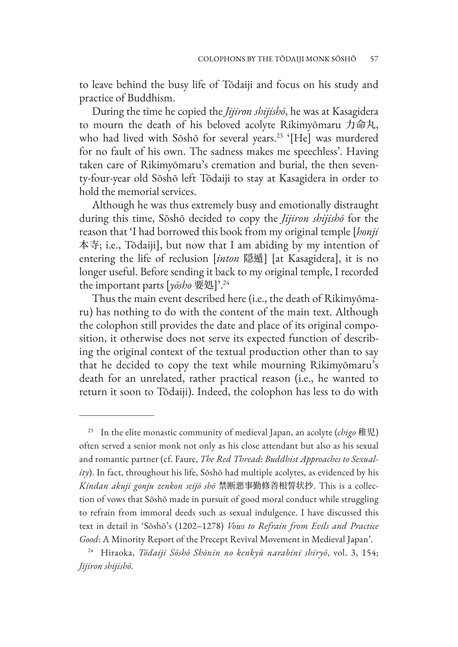to leave behind the busy life of Tōdaiji and focus on his study and practice of Buddhism.

During the time he copied the *Jijiron shijishō*, he was at Kasagidera to mourn the death of his beloved acolyte Rikimyōmaru 力命丸, who had lived with Sōshō for several years.<sup>23</sup> '[He] was murdered for no fault of his own. The sadness makes me speechless'. Having taken care of Rikimyōmaru's cremation and burial, the then seventy-four-year old Sōshō left Tōdaiji to stay at Kasagidera in order to hold the memorial services.

Although he was thus extremely busy and emotionally distraught during this time, Sōshō decided to copy the *Jijiron shijishō* for the reason that 'I had borrowed this book from my original temple [*honji* 本寺; i.e., Tōdaiji], but now that I am abiding by my intention of entering the life of reclusion [*inton* 隠遁] [at Kasagidera], it is no longer useful. Before sending it back to my original temple, I recorded the important parts [*yōsho* 要処]'.24

Thus the main event described here (i.e., the death of Rikimyōmaru) has nothing to do with the content of the main text. Although the colophon still provides the date and place of its original composition, it otherwise does not serve its expected function of describing the original context of the textual production other than to say that he decided to copy the text while mourning Rikimyōmaru's death for an unrelated, rather practical reason (i.e., he wanted to return it soon to Tōdaiji). Indeed, the colophon has less to do with

<sup>23</sup> In the elite monastic community of medieval Japan, an acolyte (*chigo* 稚児) often served a senior monk not only as his close attendant but also as his sexual and romantic partner (cf. Faure, *The Red Thread: Buddhist Approaches to Sexuality*). In fact, throughout his life, Sōshō had multiple acolytes, as evidenced by his *Kindan akuji gonju zenkon seijō shō* 禁断悪事勤修善根誓状抄. This is a collection of vows that Sōshō made in pursuit of good moral conduct while struggling to refrain from immoral deeds such as sexual indulgence. I have discussed this text in detail in 'Sōshō's (1202–1278) *Vows to Refrain from Evils and Practice Good*: A Minority Report of the Precept Revival Movement in Medieval Japan'.

<sup>24</sup> Hiraoka, *Tōdaiji Sōshō Shōnin no kenkyū narabini shiryō*, vol. 3, 154; *Jijiron shijishō*.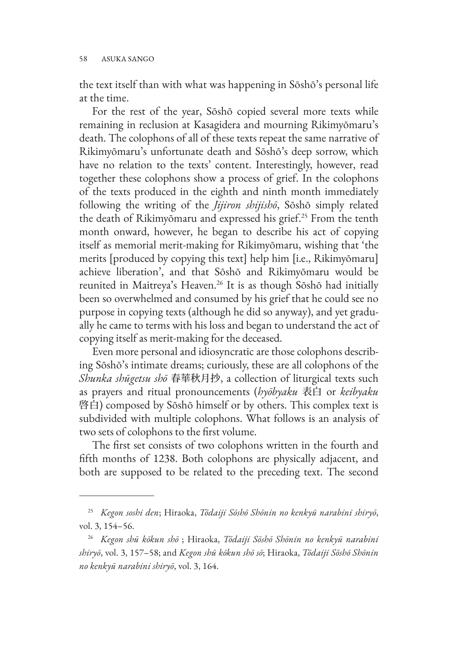the text itself than with what was happening in Sōshō's personal life at the time.

For the rest of the year, Sōshō copied several more texts while remaining in reclusion at Kasagidera and mourning Rikimyōmaru's death. The colophons of all of these texts repeat the same narrative of Rikimyōmaru's unfortunate death and Sōshō's deep sorrow, which have no relation to the texts' content. Interestingly, however, read together these colophons show a process of grief. In the colophons of the texts produced in the eighth and ninth month immediately following the writing of the *Jijiron shijishō*, Sōshō simply related the death of Rikimyōmaru and expressed his grief.25 From the tenth month onward, however, he began to describe his act of copying itself as memorial merit-making for Rikimyōmaru, wishing that 'the merits [produced by copying this text] help him [i.e., Rikimyōmaru] achieve liberation', and that Sōshō and Rikimyōmaru would be reunited in Maitreya's Heaven.<sup>26</sup> It is as though Sōshō had initially been so overwhelmed and consumed by his grief that he could see no purpose in copying texts (although he did so anyway), and yet gradually he came to terms with his loss and began to understand the act of copying itself as merit-making for the deceased.

Even more personal and idiosyncratic are those colophons describing Sōshō's intimate dreams; curiously, these are all colophons of the *Shunka shūgetsu shō* 春華秋月抄, a collection of liturgical texts such as prayers and ritual pronouncements (*hyōbyaku* 表白 or *keibyaku* 啓白) composed by Sōshō himself or by others. This complex text is subdivided with multiple colophons. What follows is an analysis of two sets of colophons to the first volume.

The first set consists of two colophons written in the fourth and fifth months of 1238. Both colophons are physically adjacent, and both are supposed to be related to the preceding text. The second

<sup>25</sup> *Kegon soshi den*; Hiraoka, *Tōdaiji Sōshō Shōnin no kenkyū narabini shiryō*, vol. 3, 154–56.

<sup>26</sup> *Kegon shū kōkun shō* ; Hiraoka, *Tōdaiji Sōshō Shōnin no kenkyū narabini shiryō*, vol. 3, 157–58; and *Kegon shū kōkun shō sō*; Hiraoka, *Tōdaiji Sōshō Shōnin no kenkyū narabini shiryō*, vol. 3, 164.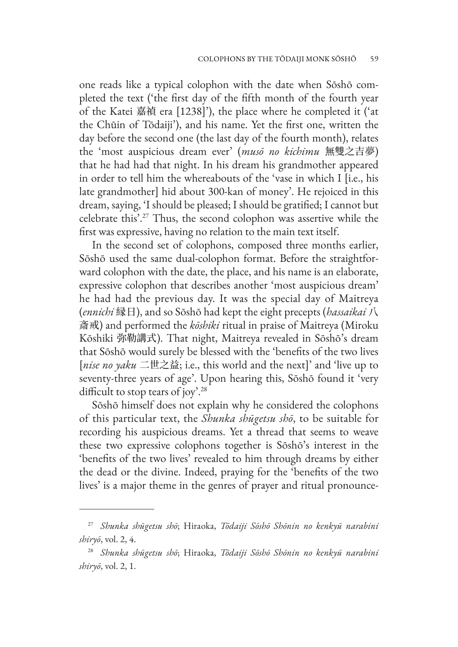one reads like a typical colophon with the date when Sōshō completed the text ('the first day of the fifth month of the fourth year of the Katei 嘉禎 era [1238]'), the place where he completed it ('at the Chūin of Tōdaiji'), and his name. Yet the first one, written the day before the second one (the last day of the fourth month), relates the 'most auspicious dream ever' (*musō no kichimu* 無雙之吉夢) that he had had that night. In his dream his grandmother appeared in order to tell him the whereabouts of the 'vase in which I [i.e., his late grandmother] hid about 300-kan of money'. He rejoiced in this dream, saying, 'I should be pleased; I should be gratified; I cannot but celebrate this'.27 Thus, the second colophon was assertive while the first was expressive, having no relation to the main text itself.

In the second set of colophons, composed three months earlier, Sōshō used the same dual-colophon format. Before the straightforward colophon with the date, the place, and his name is an elaborate, expressive colophon that describes another 'most auspicious dream' he had had the previous day. It was the special day of Maitreya (*ennichi* 縁日), and so Sōshō had kept the eight precepts (*hassaikai* 八 斎戒) and performed the *kōshiki* ritual in praise of Maitreya (Miroku Kōshiki 弥勒講式). That night, Maitreya revealed in Sōshō's dream that Sōshō would surely be blessed with the 'benefits of the two lives [*nise no yaku* 二世之益; i.e., this world and the next]' and 'live up to seventy-three years of age'. Upon hearing this, Sōshō found it 'very difficult to stop tears of joy'.28

Sōshō himself does not explain why he considered the colophons of this particular text, the *Shunka shūgetsu shō*, to be suitable for recording his auspicious dreams. Yet a thread that seems to weave these two expressive colophons together is Sōshō's interest in the 'benefits of the two lives' revealed to him through dreams by either the dead or the divine. Indeed, praying for the 'benefits of the two lives' is a major theme in the genres of prayer and ritual pronounce-

<sup>27</sup> *Shunka shūgetsu shō*; Hiraoka, *Tōdaiji Sōshō Shōnin no kenkyū narabini shiryō*, vol. 2, 4.

<sup>28</sup> *Shunka shūgetsu shō*; Hiraoka, *Tōdaiji Sōshō Shōnin no kenkyū narabini shiryō*, vol. 2, 1.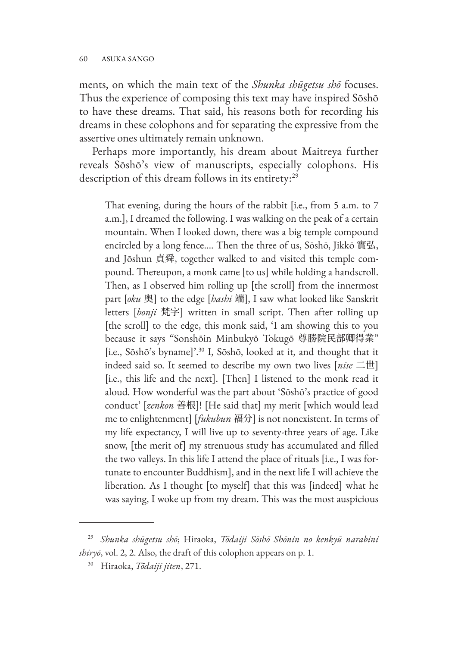ments, on which the main text of the *Shunka shūgetsu shō* focuses. Thus the experience of composing this text may have inspired Sōshō to have these dreams. That said, his reasons both for recording his dreams in these colophons and for separating the expressive from the assertive ones ultimately remain unknown.

Perhaps more importantly, his dream about Maitreya further reveals Sōshō's view of manuscripts, especially colophons. His description of this dream follows in its entirety:<sup>29</sup>

That evening, during the hours of the rabbit [i.e., from 5 a.m. to 7 a.m.], I dreamed the following. I was walking on the peak of a certain mountain. When I looked down, there was a big temple compound encircled by a long fence…. Then the three of us, Sōshō, Jikkō 實弘, and Jōshun 貞舜, together walked to and visited this temple compound. Thereupon, a monk came [to us] while holding a handscroll. Then, as I observed him rolling up [the scroll] from the innermost part [*oku* 奥] to the edge [*hashi* 端], I saw what looked like Sanskrit letters [*bonji* 梵字] written in small script. Then after rolling up [the scroll] to the edge, this monk said, 'I am showing this to you because it says "Sonshōin Minbukyō Tokugō 尊勝院民部卿得業" [i.e., Sōshō's byname]'.30 I, Sōshō, looked at it, and thought that it indeed said so. It seemed to describe my own two lives [*nise* 二世] [i.e., this life and the next]. [Then] I listened to the monk read it aloud. How wonderful was the part about 'Sōshō's practice of good conduct' [*zenkon* 善根]! [He said that] my merit [which would lead me to enlightenment] [*fukubun* 福分] is not nonexistent. In terms of my life expectancy, I will live up to seventy-three years of age. Like snow, [the merit of] my strenuous study has accumulated and filled the two valleys. In this life I attend the place of rituals [i.e., I was fortunate to encounter Buddhism], and in the next life I will achieve the liberation. As I thought [to myself] that this was [indeed] what he was saying, I woke up from my dream. This was the most auspicious

<sup>29</sup> *Shunka shūgetsu shō*; Hiraoka, *Tōdaiji Sōshō Shōnin no kenkyū narabini shiryō*, vol. 2, 2. Also, the draft of this colophon appears on p. 1.

<sup>30</sup> Hiraoka, *Tōdaiji jiten*, 271.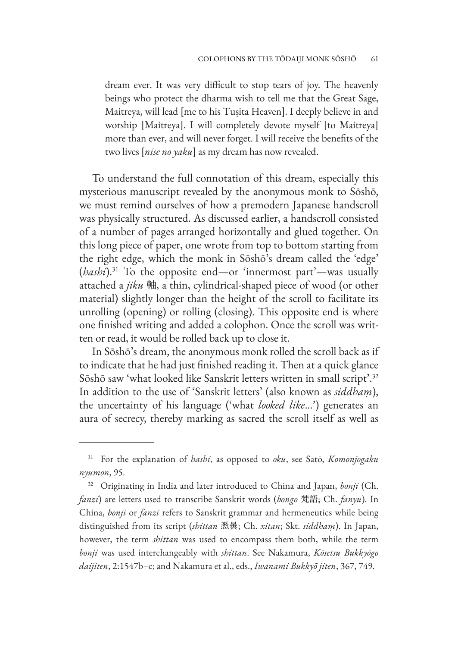dream ever. It was very difficult to stop tears of joy. The heavenly beings who protect the dharma wish to tell me that the Great Sage, Maitreya, will lead [me to his Tuṣita Heaven]. I deeply believe in and worship [Maitreya]. I will completely devote myself [to Maitreya] more than ever, and will never forget. I will receive the benefits of the two lives [*nise no yaku*] as my dream has now revealed.

To understand the full connotation of this dream, especially this mysterious manuscript revealed by the anonymous monk to Sōshō, we must remind ourselves of how a premodern Japanese handscroll was physically structured. As discussed earlier, a handscroll consisted of a number of pages arranged horizontally and glued together. On this long piece of paper, one wrote from top to bottom starting from the right edge, which the monk in Sōshō's dream called the 'edge' (*hashi*).31 To the opposite end—or 'innermost part'—was usually attached a *jiku* 軸, a thin, cylindrical-shaped piece of wood (or other material) slightly longer than the height of the scroll to facilitate its unrolling (opening) or rolling (closing). This opposite end is where one finished writing and added a colophon. Once the scroll was written or read, it would be rolled back up to close it.

In Sōshō's dream, the anonymous monk rolled the scroll back as if to indicate that he had just finished reading it. Then at a quick glance Sōshō saw 'what looked like Sanskrit letters written in small script'.32 In addition to the use of 'Sanskrit letters' (also known as *siddhaṃ*), the uncertainty of his language ('what *looked like*…') generates an aura of secrecy, thereby marking as sacred the scroll itself as well as

<sup>31</sup> For the explanation of *hashi*, as opposed to *oku*, see Satō, *Komonjogaku nyūmon*, 95.

<sup>32</sup> Originating in India and later introduced to China and Japan, *bonji* (Ch. *fanzi*) are letters used to transcribe Sanskrit words (*bongo* 梵語; Ch. *fanyu*). In China, *bonji* or *fanzi* refers to Sanskrit grammar and hermeneutics while being distinguished from its script (*shittan* 悉曇; Ch. *xitan*; Skt. *siddhaṃ*). In Japan, however, the term *shittan* was used to encompass them both, while the term *bonji* was used interchangeably with *shittan*. See Nakamura, *Kōsetsu Bukkyōgo daijiten*, 2:1547b–c; and Nakamura et al., eds., *Iwanami Bukkyō jiten*, 367, 749.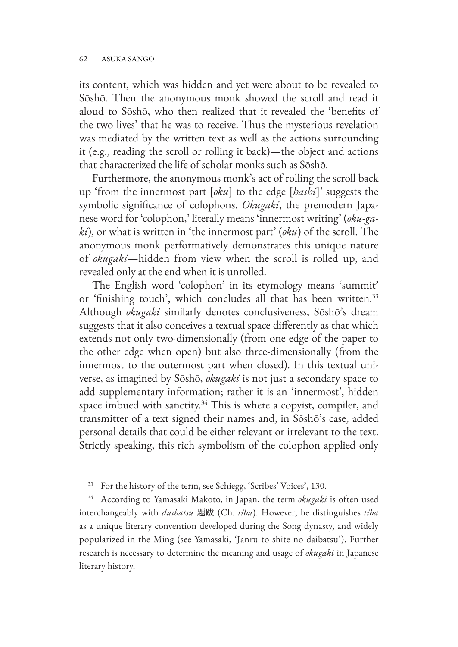its content, which was hidden and yet were about to be revealed to Sōshō. Then the anonymous monk showed the scroll and read it aloud to Sōshō, who then realized that it revealed the 'benefits of the two lives' that he was to receive. Thus the mysterious revelation was mediated by the written text as well as the actions surrounding it (e.g., reading the scroll or rolling it back)—the object and actions that characterized the life of scholar monks such as Sōshō.

Furthermore, the anonymous monk's act of rolling the scroll back up 'from the innermost part [*oku*] to the edge [*hashi*]' suggests the symbolic significance of colophons. *Okugaki*, the premodern Japanese word for 'colophon,' literally means 'innermost writing' (*oku-gaki*), or what is written in 'the innermost part' (*oku*) of the scroll. The anonymous monk performatively demonstrates this unique nature of *okugaki*—hidden from view when the scroll is rolled up, and revealed only at the end when it is unrolled.

The English word 'colophon' in its etymology means 'summit' or 'finishing touch', which concludes all that has been written.<sup>33</sup> Although *okugaki* similarly denotes conclusiveness, Sōshō's dream suggests that it also conceives a textual space differently as that which extends not only two-dimensionally (from one edge of the paper to the other edge when open) but also three-dimensionally (from the innermost to the outermost part when closed). In this textual universe, as imagined by Sōshō, *okugaki* is not just a secondary space to add supplementary information; rather it is an 'innermost', hidden space imbued with sanctity. $34$  This is where a copyist, compiler, and transmitter of a text signed their names and, in Sōshō's case, added personal details that could be either relevant or irrelevant to the text. Strictly speaking, this rich symbolism of the colophon applied only

<sup>33</sup> For the history of the term, see Schiegg, 'Scribes' Voices', 130.

<sup>34</sup> According to Yamasaki Makoto, in Japan, the term *okugaki* is often used interchangeably with *daibatsu* 題跋 (Ch. *tiba*). However, he distinguishes *tiba* as a unique literary convention developed during the Song dynasty, and widely popularized in the Ming (see Yamasaki, 'Janru to shite no daibatsu'). Further research is necessary to determine the meaning and usage of *okugaki* in Japanese literary history.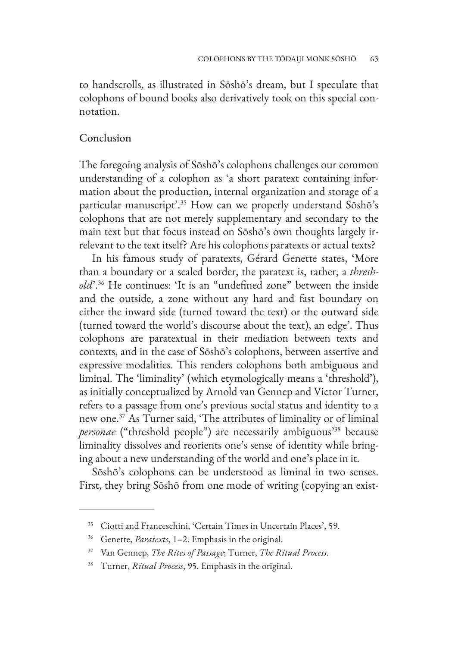to handscrolls, as illustrated in Sōshō's dream, but I speculate that colophons of bound books also derivatively took on this special connotation.

### Conclusion

The foregoing analysis of Sōshō's colophons challenges our common understanding of a colophon as 'a short paratext containing information about the production, internal organization and storage of a particular manuscript'.<sup>35</sup> How can we properly understand Sōshō's colophons that are not merely supplementary and secondary to the main text but that focus instead on Sōshō's own thoughts largely irrelevant to the text itself? Are his colophons paratexts or actual texts?

In his famous study of paratexts, Gérard Genette states, 'More than a boundary or a sealed border, the paratext is, rather, a *threshold*'.36 He continues: 'It is an "undefined zone" between the inside and the outside, a zone without any hard and fast boundary on either the inward side (turned toward the text) or the outward side (turned toward the world's discourse about the text), an edge'. Thus colophons are paratextual in their mediation between texts and contexts, and in the case of Sōshō's colophons, between assertive and expressive modalities. This renders colophons both ambiguous and liminal. The 'liminality' (which etymologically means a 'threshold'), as initially conceptualized by Arnold van Gennep and Victor Turner, refers to a passage from one's previous social status and identity to a new one.37 As Turner said, 'The attributes of liminality or of liminal *personae* ("threshold people") are necessarily ambiguous'38 because liminality dissolves and reorients one's sense of identity while bringing about a new understanding of the world and one's place in it.

Sōshō's colophons can be understood as liminal in two senses. First, they bring Sōshō from one mode of writing (copying an exist-

<sup>35</sup> Ciotti and Franceschini, 'Certain Times in Uncertain Places', 59.

<sup>36</sup> Genette, *Paratexts*, 1–2. Emphasis in the original.

<sup>37</sup> Van Gennep, *The Rites of Passage*; Turner, *The Ritual Process*.

<sup>38</sup> Turner, *Ritual Process*, 95. Emphasis in the original.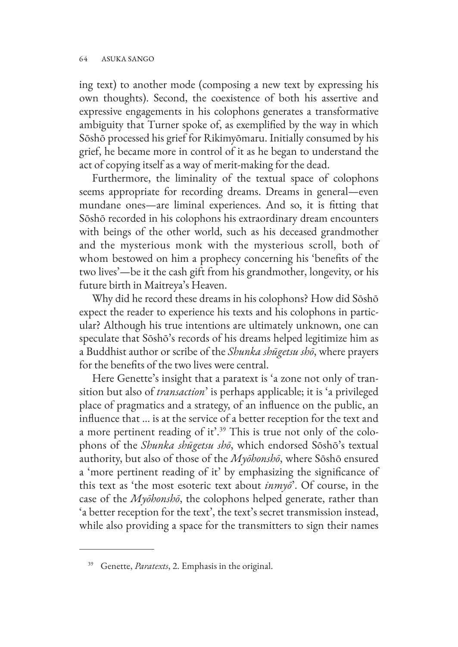ing text) to another mode (composing a new text by expressing his own thoughts). Second, the coexistence of both his assertive and expressive engagements in his colophons generates a transformative ambiguity that Turner spoke of, as exemplified by the way in which Sōshō processed his grief for Rikimyōmaru. Initially consumed by his grief, he became more in control of it as he began to understand the act of copying itself as a way of merit-making for the dead.

Furthermore, the liminality of the textual space of colophons seems appropriate for recording dreams. Dreams in general—even mundane ones—are liminal experiences. And so, it is fitting that Sōshō recorded in his colophons his extraordinary dream encounters with beings of the other world, such as his deceased grandmother and the mysterious monk with the mysterious scroll, both of whom bestowed on him a prophecy concerning his 'benefits of the two lives'—be it the cash gift from his grandmother, longevity, or his future birth in Maitreya's Heaven.

Why did he record these dreams in his colophons? How did Sōshō expect the reader to experience his texts and his colophons in particular? Although his true intentions are ultimately unknown, one can speculate that Sōshō's records of his dreams helped legitimize him as a Buddhist author or scribe of the *Shunka shūgetsu shō*, where prayers for the benefits of the two lives were central.

Here Genette's insight that a paratext is 'a zone not only of transition but also of *transaction*' is perhaps applicable; it is 'a privileged place of pragmatics and a strategy, of an influence on the public, an influence that … is at the service of a better reception for the text and a more pertinent reading of it'.<sup>39</sup> This is true not only of the colophons of the *Shunka shūgetsu shō*, which endorsed Sōshō's textual authority, but also of those of the *Myōhonshō*, where Sōshō ensured a 'more pertinent reading of it' by emphasizing the significance of this text as 'the most esoteric text about *inmyō*'. Of course, in the case of the *Myōhonshō*, the colophons helped generate, rather than 'a better reception for the text', the text's secret transmission instead, while also providing a space for the transmitters to sign their names

<sup>39</sup> Genette, *Paratexts*, 2. Emphasis in the original.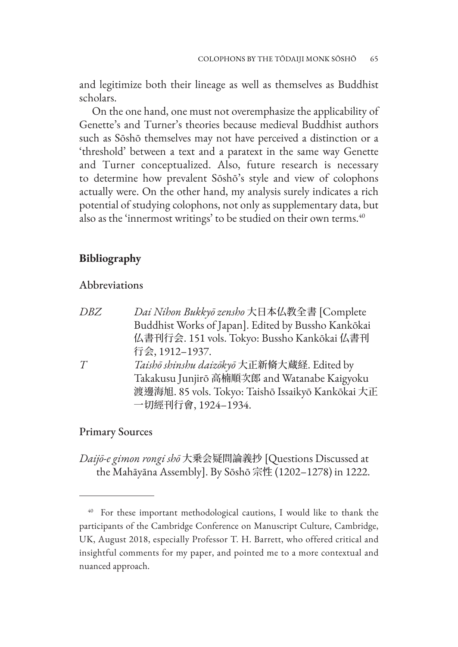and legitimize both their lineage as well as themselves as Buddhist scholars.

On the one hand, one must not overemphasize the applicability of Genette's and Turner's theories because medieval Buddhist authors such as Sōshō themselves may not have perceived a distinction or a 'threshold' between a text and a paratext in the same way Genette and Turner conceptualized. Also, future research is necessary to determine how prevalent Sōshō's style and view of colophons actually were. On the other hand, my analysis surely indicates a rich potential of studying colophons, not only as supplementary data, but also as the 'innermost writings' to be studied on their own terms.<sup>40</sup>

# **Bibliography**

#### Abbreviations

*DBZ Dai Nihon Bukkyō zensho* 大日本仏教全書 [Complete Buddhist Works of Japan]. Edited by Bussho Kankōkai 仏書刊行会. 151 vols. Tokyo: Bussho Kankōkai 仏書刊 行会, 1912–1937. *T Taishō shinshu daizōkyō* 大正新脩大蔵経. Edited by

Takakusu Junjirō 高楠順次郎 and Watanabe Kaigyoku 渡邊海旭. 85 vols. Tokyo: Taishō Issaikyō Kankōkai 大正 一切經刊行會, 1924–1934.

#### Primary Sources

*Daijō-e gimon rongi shō* 大乗会疑問論義抄 [Questions Discussed at the Mahāyāna Assembly]. By Sōshō 宗性 (1202–1278) in 1222.

<sup>&</sup>lt;sup>40</sup> For these important methodological cautions, I would like to thank the participants of the Cambridge Conference on Manuscript Culture, Cambridge, UK, August 2018, especially Professor T. H. Barrett, who offered critical and insightful comments for my paper, and pointed me to a more contextual and nuanced approach.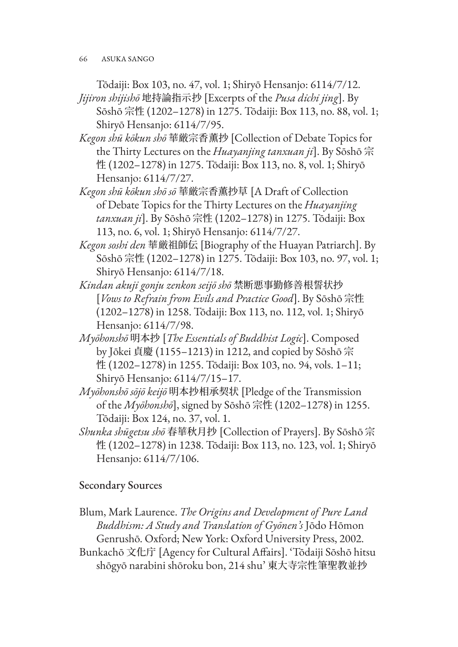66 ASUKA SANGO

Tōdaiji: Box 103, no. 47, vol. 1; Shiryō Hensanjo: 6114/7/12.

- *Jijiron shijishō* 地持論指示抄 [Excerpts of the *Pusa dichi jing*]. By Sōshō 宗性 (1202–1278) in 1275. Tōdaiji: Box 113, no. 88, vol. 1; Shiryō Hensanjo: 6114/7/95.
- *Kegon shū kōkun shō* 華厳宗香薫抄 [Collection of Debate Topics for the Thirty Lectures on the *Huayanjing tanxuan ji*]. By Sōshō 宗 性 (1202–1278) in 1275. Tōdaiji: Box 113, no. 8, vol. 1; Shiryō Hensanjo: 6114/7/27.
- *Kegon shū kōkun shō sō* 華厳宗香薫抄草 [A Draft of Collection of Debate Topics for the Thirty Lectures on the *Huayanjing tanxuan ji*]. By Sōshō 宗性 (1202–1278) in 1275. Tōdaiji: Box 113, no. 6, vol. 1; Shiryō Hensanjo: 6114/7/27.
- *Kegon soshi den* 華厳祖師伝 [Biography of the Huayan Patriarch]. By Sōshō 宗性 (1202–1278) in 1275. Tōdaiji: Box 103, no. 97, vol. 1; Shiryō Hensanjo: 6114/7/18.
- *Kindan akuji gonju zenkon seijō shō* 禁断悪事勤修善根誓状抄 [*Vows to Refrain from Evils and Practice Good*]. By Sōshō 宗性 (1202–1278) in 1258. Tōdaiji: Box 113, no. 112, vol. 1; Shiryō Hensanjo: 6114/7/98.
- *Myōhonshō* 明本抄 [*The Essentials of Buddhist Logic*]. Composed by Jōkei 貞慶 (1155–1213) in 1212, and copied by Sōshō 宗 性 (1202–1278) in 1255. Tōdaiji: Box 103, no. 94, vols. 1–11; Shiryō Hensanjo: 6114/7/15–17.
- *Myōhonshō sōjō keijō* 明本抄相承契状 [Pledge of the Transmission of the *Myōhonshō*], signed by Sōshō 宗性 (1202–1278) in 1255. Tōdaiji: Box 124, no. 37, vol. 1.
- *Shunka shūgetsu shō* 春華秋月抄 [Collection of Prayers]. By Sōshō 宗 性 (1202–1278) in 1238. Tōdaiji: Box 113, no. 123, vol. 1; Shiryō Hensanjo: 6114/7/106.

# Secondary Sources

- Blum, Mark Laurence. *The Origins and Development of Pure Land Buddhism: A Study and Translation of Gyōnen's* Jōdo Hōmon Genrushō. Oxford; New York: Oxford University Press, 2002.
- Bunkachō 文化庁 [Agency for Cultural Affairs]. 'Tōdaiji Sōshō hitsu shōgyō narabini shōroku bon, 214 shu' 東大寺宗性筆聖教並抄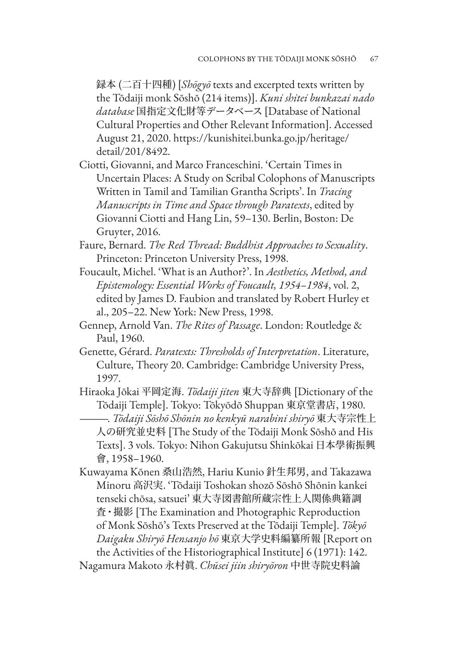録本 (二百十四種) [*Shōgyō* texts and excerpted texts written by the Tōdaiji monk Sōshō (214 items)]. *Kuni shitei bunkazai nado database* 国指定文化財等データベース [Database of National Cultural Properties and Other Relevant Information]. Accessed [August 21, 2020. https://kunishitei.bunka.go.jp/heritage/](https://kunishitei.bunka.go.jp/heritage/detail/201/8492) detail/201/8492.

- Ciotti, Giovanni, and Marco Franceschini. 'Certain Times in Uncertain Places: A Study on Scribal Colophons of Manuscripts Written in Tamil and Tamilian Grantha Scripts'. In *Tracing Manuscripts in Time and Space through Paratexts*, edited by Giovanni Ciotti and Hang Lin, 59–130. Berlin, Boston: De Gruyter, 2016.
- Faure, Bernard. *The Red Thread: Buddhist Approaches to Sexuality*. Princeton: Princeton University Press, 1998.
- Foucault, Michel. 'What is an Author?'. In *Aesthetics, Method, and Epistemology: Essential Works of Foucault, 1954–1984*, vol. 2, edited by James D. Faubion and translated by Robert Hurley et al., 205–22. New York: New Press, 1998.
- Gennep, Arnold Van. *The Rites of Passage*. London: Routledge & Paul, 1960.
- Genette, Gérard. *Paratexts: Thresholds of Interpretation*. Literature, Culture, Theory 20. Cambridge: Cambridge University Press, 1997.
- Hiraoka Jōkai 平岡定海. *Tōdaiji jiten* 東大寺辞典 [Dictionary of the Tōdaiji Temple]. Tokyo: Tōkyōdō Shuppan 東京堂書店, 1980.

———. *Tōdaiji Sōshō Shōnin no kenkyū narabini shiryō* 東大寺宗性上 人の研究並史料 [The Study of the Tōdaiji Monk Sōshō and His Texts]. 3 vols. Tokyo: Nihon Gakujutsu Shinkōkai 日本學術振興 會, 1958–1960.

Kuwayama Kōnen 桑山浩然, Hariu Kunio 針生邦男, and Takazawa Minoru 高沢実. 'Tōdaiji Toshokan shozō Sōshō Shōnin kankei tenseki chōsa, satsuei' 東大寺図書館所蔵宗性上人関係典籍調 査・撮影 [The Examination and Photographic Reproduction of Monk Sōshō's Texts Preserved at the Tōdaiji Temple]. *Tōkyō Daigaku Shiryō Hensanjo hō* 東京大学史料編纂所報 [Report on the Activities of the Historiographical Institute] 6 (1971): 142.

Nagamura Makoto 永村眞. *Chūsei jiin shiryōron* 中世寺院史料論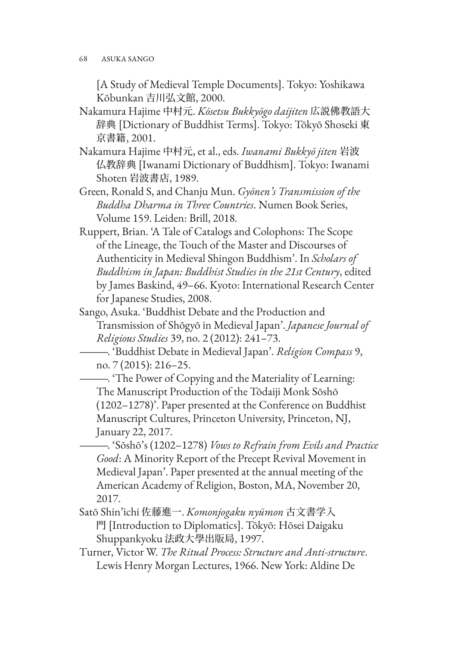[A Study of Medieval Temple Documents]. Tokyo: Yoshikawa Kōbunkan 吉川弘文館, 2000.

- Nakamura Hajime 中村元. *Kōsetsu Bukkyōgo daijiten* 広説佛教語大 辞典 [Dictionary of Buddhist Terms]. Tokyo: Tōkyō Shoseki 東 京書籍, 2001.
- Nakamura Hajime 中村元, et al., eds. *Iwanami Bukkyō jiten* 岩波 仏教辞典 [Iwanami Dictionary of Buddhism]. Tokyo: Iwanami Shoten 岩波書店, 1989.
- Green, Ronald S, and Chanju Mun. *Gyōnen's Transmission of the Buddha Dharma in Three Countries*. Numen Book Series, Volume 159. Leiden: Brill, 2018.
- Ruppert, Brian. 'A Tale of Catalogs and Colophons: The Scope of the Lineage, the Touch of the Master and Discourses of Authenticity in Medieval Shingon Buddhism'. In *Scholars of Buddhism in Japan: Buddhist Studies in the 21st Century*, edited by James Baskind, 49–66. Kyoto: International Research Center for Japanese Studies, 2008.
- Sango, Asuka. 'Buddhist Debate and the Production and Transmission of Shōgyō in Medieval Japan'. *Japanese Journal of Religious Studies* 39, no. 2 (2012): 241–73.
	- ———. 'Buddhist Debate in Medieval Japan'. *Religion Compass* 9, no. 7 (2015): 216–25.
	- ———. 'The Power of Copying and the Materiality of Learning: The Manuscript Production of the Tōdaiji Monk Sōshō (1202–1278)'. Paper presented at the Conference on Buddhist Manuscript Cultures, Princeton University, Princeton, NJ, January 22, 2017.
- ———. 'Sōshō's (1202–1278) *Vows to Refrain from Evils and Practice Good*: A Minority Report of the Precept Revival Movement in Medieval Japan'. Paper presented at the annual meeting of the American Academy of Religion, Boston, MA, November 20, 2017.
- Satō Shin'ichi 佐藤進一. *Komonjogaku nyūmon* 古文書学入 門 [Introduction to Diplomatics]. Tōkyō: Hōsei Daigaku Shuppankyoku 法政大學出版局, 1997.
- Turner, Victor W. *The Ritual Process: Structure and Anti-structure*. Lewis Henry Morgan Lectures, 1966. New York: Aldine De